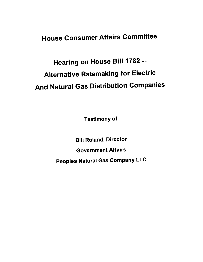## House Consumer Affairs Committee

## Hearing on House Bill 1782 --Alternative Ratemaking for Electric And Natural Gas Distribution Companies

Testimony of

Bill Roland, Director

Government Affairs

Peoples Natural Gas Company LLC